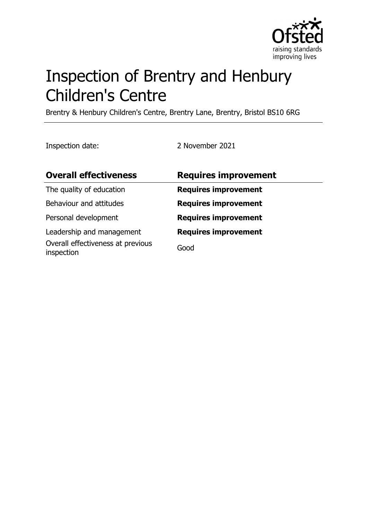

# Inspection of Brentry and Henbury Children's Centre

Brentry & Henbury Children's Centre, Brentry Lane, Brentry, Bristol BS10 6RG

Inspection date: 2 November 2021

| <b>Overall effectiveness</b>                    | <b>Requires improvement</b> |
|-------------------------------------------------|-----------------------------|
| The quality of education                        | <b>Requires improvement</b> |
| Behaviour and attitudes                         | <b>Requires improvement</b> |
| Personal development                            | <b>Requires improvement</b> |
| Leadership and management                       | <b>Requires improvement</b> |
| Overall effectiveness at previous<br>inspection | Good                        |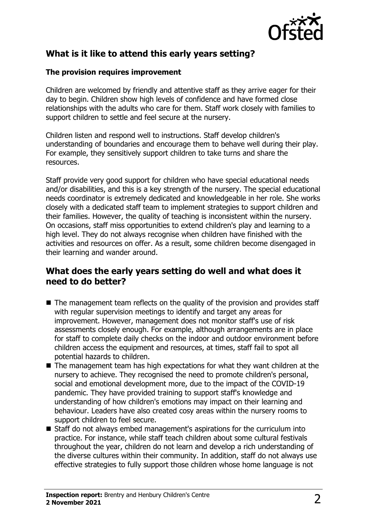

# **What is it like to attend this early years setting?**

#### **The provision requires improvement**

Children are welcomed by friendly and attentive staff as they arrive eager for their day to begin. Children show high levels of confidence and have formed close relationships with the adults who care for them. Staff work closely with families to support children to settle and feel secure at the nursery.

Children listen and respond well to instructions. Staff develop children's understanding of boundaries and encourage them to behave well during their play. For example, they sensitively support children to take turns and share the resources.

Staff provide very good support for children who have special educational needs and/or disabilities, and this is a key strength of the nursery. The special educational needs coordinator is extremely dedicated and knowledgeable in her role. She works closely with a dedicated staff team to implement strategies to support children and their families. However, the quality of teaching is inconsistent within the nursery. On occasions, staff miss opportunities to extend children's play and learning to a high level. They do not always recognise when children have finished with the activities and resources on offer. As a result, some children become disengaged in their learning and wander around.

#### **What does the early years setting do well and what does it need to do better?**

- $\blacksquare$  The management team reflects on the quality of the provision and provides staff with regular supervision meetings to identify and target any areas for improvement. However, management does not monitor staff's use of risk assessments closely enough. For example, although arrangements are in place for staff to complete daily checks on the indoor and outdoor environment before children access the equipment and resources, at times, staff fail to spot all potential hazards to children.
- $\blacksquare$  The management team has high expectations for what they want children at the nursery to achieve. They recognised the need to promote children's personal, social and emotional development more, due to the impact of the COVID-19 pandemic. They have provided training to support staff's knowledge and understanding of how children's emotions may impact on their learning and behaviour. Leaders have also created cosy areas within the nursery rooms to support children to feel secure.
- Staff do not always embed management's aspirations for the curriculum into practice. For instance, while staff teach children about some cultural festivals throughout the year, children do not learn and develop a rich understanding of the diverse cultures within their community. In addition, staff do not always use effective strategies to fully support those children whose home language is not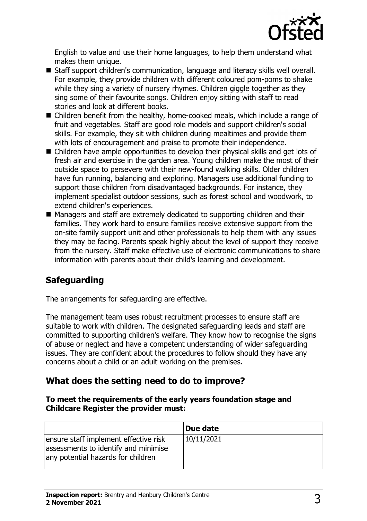

English to value and use their home languages, to help them understand what makes them unique.

- Staff support children's communication, language and literacy skills well overall. For example, they provide children with different coloured pom-poms to shake while they sing a variety of nursery rhymes. Children giggle together as they sing some of their favourite songs. Children enjoy sitting with staff to read stories and look at different books.
- $\blacksquare$  Children benefit from the healthy, home-cooked meals, which include a range of fruit and vegetables. Staff are good role models and support children's social skills. For example, they sit with children during mealtimes and provide them with lots of encouragement and praise to promote their independence.
- $\blacksquare$  Children have ample opportunities to develop their physical skills and get lots of fresh air and exercise in the garden area. Young children make the most of their outside space to persevere with their new-found walking skills. Older children have fun running, balancing and exploring. Managers use additional funding to support those children from disadvantaged backgrounds. For instance, they implement specialist outdoor sessions, such as forest school and woodwork, to extend children's experiences.
- Managers and staff are extremely dedicated to supporting children and their families. They work hard to ensure families receive extensive support from the on-site family support unit and other professionals to help them with any issues they may be facing. Parents speak highly about the level of support they receive from the nursery. Staff make effective use of electronic communications to share information with parents about their child's learning and development.

## **Safeguarding**

The arrangements for safeguarding are effective.

The management team uses robust recruitment processes to ensure staff are suitable to work with children. The designated safeguarding leads and staff are committed to supporting children's welfare. They know how to recognise the signs of abuse or neglect and have a competent understanding of wider safeguarding issues. They are confident about the procedures to follow should they have any concerns about a child or an adult working on the premises.

### **What does the setting need to do to improve?**

#### **To meet the requirements of the early years foundation stage and Childcare Register the provider must:**

|                                                                                                                     | Due date   |
|---------------------------------------------------------------------------------------------------------------------|------------|
| ensure staff implement effective risk<br>assessments to identify and minimise<br>any potential hazards for children | 10/11/2021 |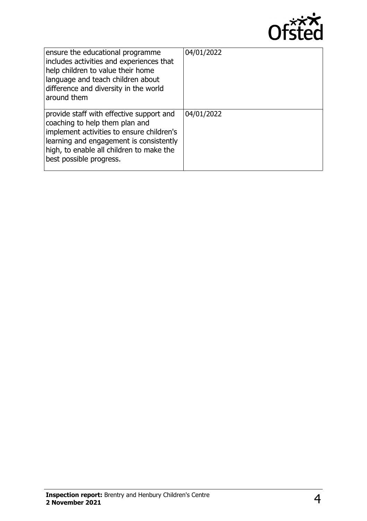

| ensure the educational programme<br>includes activities and experiences that<br>help children to value their home<br>language and teach children about<br>difference and diversity in the world<br>around them                            | 04/01/2022 |
|-------------------------------------------------------------------------------------------------------------------------------------------------------------------------------------------------------------------------------------------|------------|
| provide staff with effective support and<br>coaching to help them plan and<br>implement activities to ensure children's<br>learning and engagement is consistently<br>high, to enable all children to make the<br>best possible progress. | 04/01/2022 |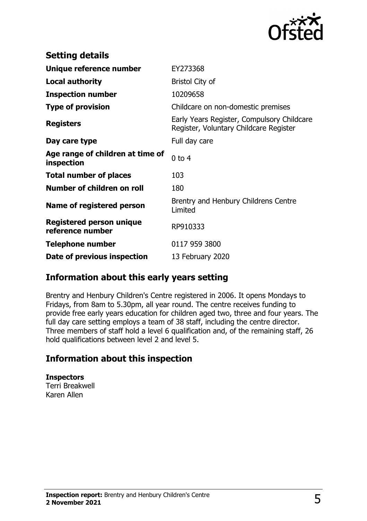

| <b>Setting details</b>                              |                                                                                      |
|-----------------------------------------------------|--------------------------------------------------------------------------------------|
| Unique reference number                             | EY273368                                                                             |
| <b>Local authority</b>                              | <b>Bristol City of</b>                                                               |
| <b>Inspection number</b>                            | 10209658                                                                             |
| <b>Type of provision</b>                            | Childcare on non-domestic premises                                                   |
| <b>Registers</b>                                    | Early Years Register, Compulsory Childcare<br>Register, Voluntary Childcare Register |
| Day care type                                       | Full day care                                                                        |
| Age range of children at time of<br>inspection      | $0$ to 4                                                                             |
| <b>Total number of places</b>                       | 103                                                                                  |
| Number of children on roll                          | 180                                                                                  |
| Name of registered person                           | Brentry and Henbury Childrens Centre<br>Limited                                      |
| <b>Registered person unique</b><br>reference number | RP910333                                                                             |
| <b>Telephone number</b>                             | 0117 959 3800                                                                        |
| Date of previous inspection                         | 13 February 2020                                                                     |

### **Information about this early years setting**

Brentry and Henbury Children's Centre registered in 2006. It opens Mondays to Fridays, from 8am to 5.30pm, all year round. The centre receives funding to provide free early years education for children aged two, three and four years. The full day care setting employs a team of 38 staff, including the centre director. Three members of staff hold a level 6 qualification and, of the remaining staff, 26 hold qualifications between level 2 and level 5.

### **Information about this inspection**

**Inspectors** Terri Breakwell Karen Allen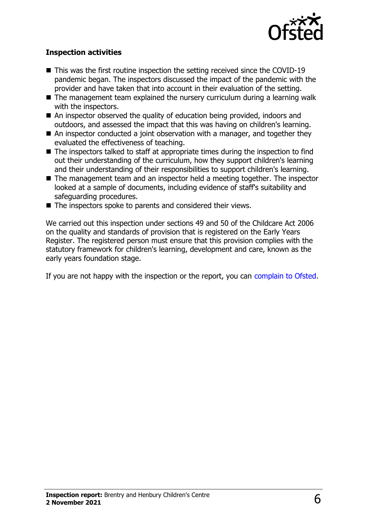

#### **Inspection activities**

- $\blacksquare$  This was the first routine inspection the setting received since the COVID-19 pandemic began. The inspectors discussed the impact of the pandemic with the provider and have taken that into account in their evaluation of the setting.
- $\blacksquare$  The management team explained the nursery curriculum during a learning walk with the inspectors.
- $\blacksquare$  An inspector observed the quality of education being provided, indoors and outdoors, and assessed the impact that this was having on children's learning.
- $\blacksquare$  An inspector conducted a joint observation with a manager, and together they evaluated the effectiveness of teaching.
- $\blacksquare$  The inspectors talked to staff at appropriate times during the inspection to find out their understanding of the curriculum, how they support children's learning and their understanding of their responsibilities to support children's learning.
- $\blacksquare$  The management team and an inspector held a meeting together. The inspector looked at a sample of documents, including evidence of staff's suitability and safeguarding procedures.
- $\blacksquare$  The inspectors spoke to parents and considered their views.

We carried out this inspection under sections 49 and 50 of the Childcare Act 2006 on the quality and standards of provision that is registered on the Early Years Register. The registered person must ensure that this provision complies with the statutory framework for children's learning, development and care, known as the early years foundation stage.

If you are not happy with the inspection or the report, you can [complain to Ofsted](http://www.gov.uk/complain-ofsted-report).